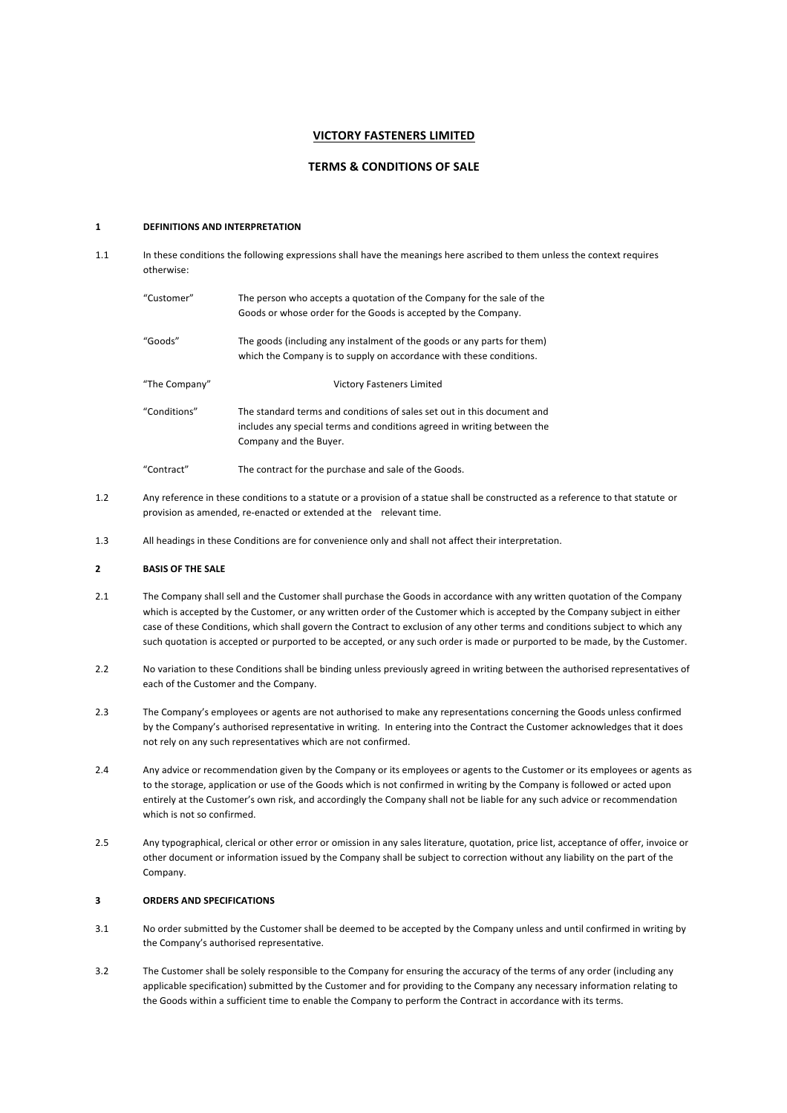## **VICTORY FASTENERS LIMITED**

# **TERMS & CONDITIONS OF SALE**

## $\mathbf{1}$ **DEFINITIONS AND INTERPRETATION**

 $1.1$ In these conditions the following expressions shall have the meanings here ascribed to them unless the context requires otherwise: "Customer" The person who accepts a quotation of the Company for the sale of the Goods or whose order for the Goods is accepted by the Company. "Goods" The goods (including any instalment of the goods or any parts for them) which the Company is to supply on accordance with these conditions. "The Company" **Victory Fasteners Limited** "Conditions" The standard terms and conditions of sales set out in this document and

includes any special terms and conditions agreed in writing between the Company and the Buyer.

"Contract" The contract for the purchase and sale of the Goods.

- $1.2$ Any reference in these conditions to a statute or a provision of a statue shall be constructed as a reference to that statute or provision as amended, re-enacted or extended at the relevant time.
- $1.3$ All headings in these Conditions are for convenience only and shall not affect their interpretation.

### $\overline{\mathbf{z}}$ **BASIS OF THE SALE**

- $2.1$ The Company shall sell and the Customer shall purchase the Goods in accordance with any written quotation of the Company which is accepted by the Customer, or any written order of the Customer which is accepted by the Company subject in either case of these Conditions, which shall govern the Contract to exclusion of any other terms and conditions subject to which any such quotation is accepted or purported to be accepted, or any such order is made or purported to be made, by the Customer.
- $22$ No variation to these Conditions shall be binding unless previously agreed in writing between the authorised representatives of each of the Customer and the Company.
- $2.3$ The Company's employees or agents are not authorised to make any representations concerning the Goods unless confirmed by the Company's authorised representative in writing. In entering into the Contract the Customer acknowledges that it does not rely on any such representatives which are not confirmed.
- $2\Delta$ Any advice or recommendation given by the Company or its employees or agents to the Customer or its employees or agents as to the storage, application or use of the Goods which is not confirmed in writing by the Company is followed or acted upon entirely at the Customer's own risk, and accordingly the Company shall not be liable for any such advice or recommendation which is not so confirmed.
- $2.5$ Any typographical, clerical or other error or omission in any sales literature, quotation, price list, acceptance of offer, invoice or other document or information issued by the Company shall be subject to correction without any liability on the part of the Company.

### $\overline{\mathbf{3}}$ **ORDERS AND SPECIFICATIONS**

- $3<sub>1</sub>$ No order submitted by the Customer shall be deemed to be accepted by the Company unless and until confirmed in writing by the Company's authorised representative.
- $3.2$ The Customer shall be solely responsible to the Company for ensuring the accuracy of the terms of any order (including any applicable specification) submitted by the Customer and for providing to the Company any necessary information relating to the Goods within a sufficient time to enable the Company to perform the Contract in accordance with its terms.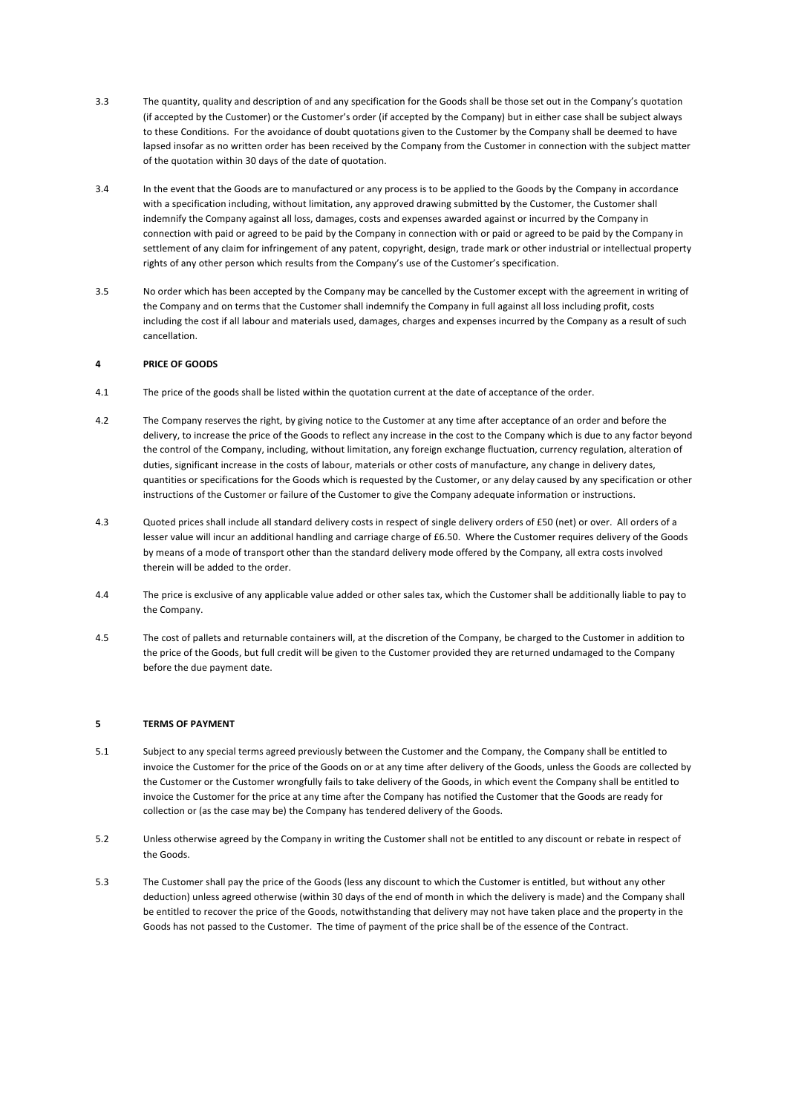- $\overline{3}$ The quantity, quality and description of and any specification for the Goods shall be those set out in the Company's quotation (if accepted by the Customer) or the Customer's order (if accepted by the Company) but in either case shall be subject always to these Conditions. For the avoidance of doubt quotations given to the Customer by the Company shall be deemed to have lapsed insofar as no written order has been received by the Company from the Customer in connection with the subject matter of the quotation within 30 days of the date of quotation.
- $3.4$ In the event that the Goods are to manufactured or any process is to be applied to the Goods by the Company in accordance with a specification including, without limitation, any approved drawing submitted by the Customer, the Customer shall indemnify the Company against all loss, damages, costs and expenses awarded against or incurred by the Company in connection with paid or agreed to be paid by the Company in connection with or paid or agreed to be paid by the Company in settlement of any claim for infringement of any patent, copyright, design, trade mark or other industrial or intellectual property rights of any other person which results from the Company's use of the Customer's specification.
- $3.5$ No order which has been accepted by the Company may be cancelled by the Customer except with the agreement in writing of the Company and on terms that the Customer shall indemnify the Company in full against all loss including profit, costs including the cost if all labour and materials used, damages, charges and expenses incurred by the Company as a result of such cancellation.

## $\overline{a}$ **PRICE OF GOODS**

- $4.1$ The price of the goods shall be listed within the quotation current at the date of acceptance of the order.
- $4.2$ The Company reserves the right, by giving notice to the Customer at any time after acceptance of an order and before the delivery, to increase the price of the Goods to reflect any increase in the cost to the Company which is due to any factor beyond the control of the Company, including, without limitation, any foreign exchange fluctuation, currency regulation, alteration of duties, significant increase in the costs of labour, materials or other costs of manufacture, any change in delivery dates. quantities or specifications for the Goods which is requested by the Customer, or any delay caused by any specification or other instructions of the Customer or failure of the Customer to give the Company adequate information or instructions.
- $4.3$ Quoted prices shall include all standard delivery costs in respect of single delivery orders of £50 (net) or over. All orders of a lesser value will incur an additional handling and carriage charge of £6.50. Where the Customer requires delivery of the Goods by means of a mode of transport other than the standard delivery mode offered by the Company, all extra costs involved therein will be added to the order.
- $4.4$ The price is exclusive of any applicable value added or other sales tax, which the Customer shall be additionally liable to pay to the Company.
- $4.5$ The cost of pallets and returnable containers will, at the discretion of the Company, be charged to the Customer in addition to the price of the Goods, but full credit will be given to the Customer provided they are returned undamaged to the Company before the due payment date.

## $\overline{\mathbf{5}}$ **TERMS OF PAYMENT**

- $5.1$ Subject to any special terms agreed previously between the Customer and the Company, the Company shall be entitled to invoice the Customer for the price of the Goods on or at any time after delivery of the Goods, unless the Goods are collected by the Customer or the Customer wrongfully fails to take delivery of the Goods, in which event the Company shall be entitled to invoice the Customer for the price at any time after the Company has notified the Customer that the Goods are ready for collection or (as the case may be) the Company has tendered delivery of the Goods.
- $5.2$ Unless otherwise agreed by the Company in writing the Customer shall not be entitled to any discount or rebate in respect of the Goods.
- 5.3 The Customer shall pay the price of the Goods (less any discount to which the Customer is entitled, but without any other deduction) unless agreed otherwise (within 30 days of the end of month in which the delivery is made) and the Company shall be entitled to recover the price of the Goods, notwithstanding that delivery may not have taken place and the property in the Goods has not passed to the Customer. The time of payment of the price shall be of the essence of the Contract.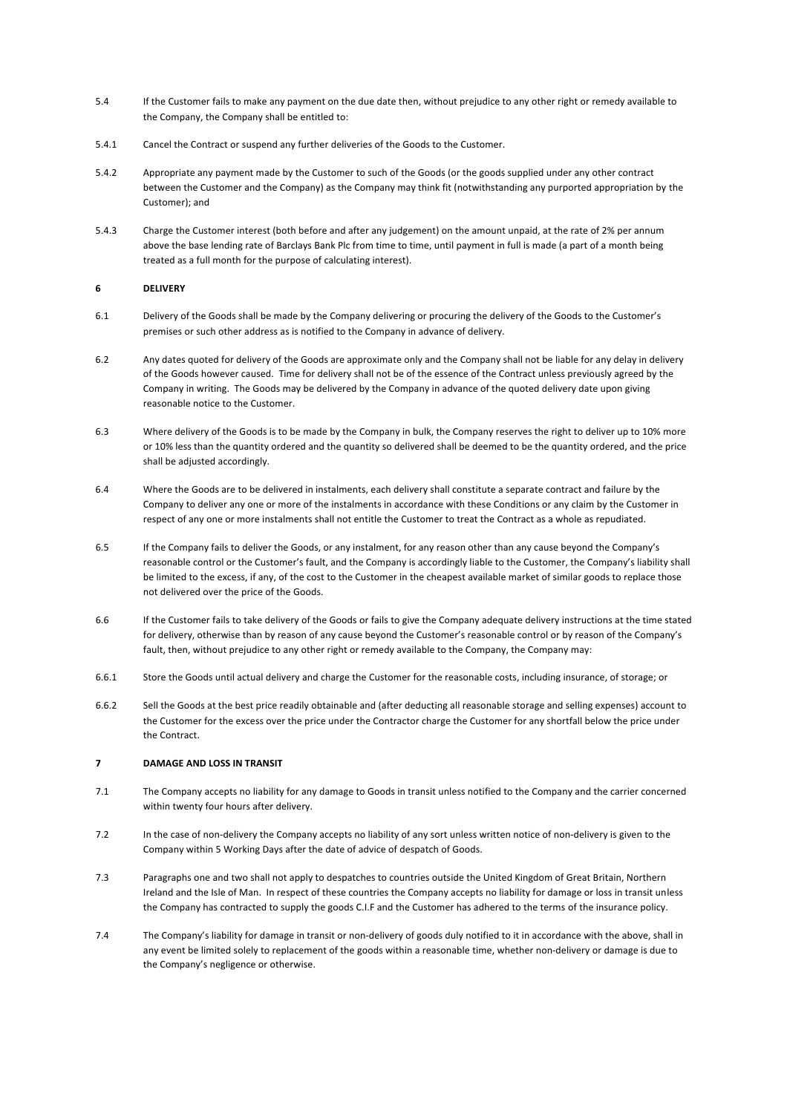- $5A$ If the Customer fails to make any payment on the due date then, without prejudice to any other right or remedy available to the Company, the Company shall be entitled to:
- $5.4.1$ Cancel the Contract or suspend any further deliveries of the Goods to the Customer.
- 542 Appropriate any payment made by the Customer to such of the Goods (or the goods supplied under any other contract between the Customer and the Company) as the Company may think fit (notwithstanding any purported appropriation by the Customer); and
- $5.4.3$ Charge the Customer interest (both before and after any judgement) on the amount unpaid, at the rate of 2% per annum above the base lending rate of Barclays Bank Plc from time to time, until payment in full is made (a part of a month being treated as a full month for the purpose of calculating interest).

## 6 **DELIVERY**

- $6.1$ Delivery of the Goods shall be made by the Company delivering or procuring the delivery of the Goods to the Customer's premises or such other address as is notified to the Company in advance of delivery.
- $6.2$ Any dates quoted for delivery of the Goods are approximate only and the Company shall not be liable for any delay in delivery of the Goods however caused. Time for delivery shall not be of the essence of the Contract unless previously agreed by the Company in writing. The Goods may be delivered by the Company in advance of the quoted delivery date upon giving reasonable notice to the Customer.
- $6.3$ Where delivery of the Goods is to be made by the Company in bulk, the Company reserves the right to deliver up to 10% more or 10% less than the quantity ordered and the quantity so delivered shall be deemed to be the quantity ordered, and the price shall be adjusted accordingly.
- $6.4$ Where the Goods are to be delivered in instalments, each delivery shall constitute a separate contract and failure by the Company to deliver any one or more of the instalments in accordance with these Conditions or any claim by the Customer in respect of any one or more instalments shall not entitle the Customer to treat the Contract as a whole as repudiated.
- 6.5 If the Company fails to deliver the Goods, or any instalment, for any reason other than any cause beyond the Company's reasonable control or the Customer's fault, and the Company is accordingly liable to the Customer, the Company's liability shall be limited to the excess, if any, of the cost to the Customer in the cheapest available market of similar goods to replace those not delivered over the price of the Goods.
- 6.6 If the Customer fails to take delivery of the Goods or fails to give the Company adequate delivery instructions at the time stated for delivery, otherwise than by reason of any cause beyond the Customer's reasonable control or by reason of the Company's fault, then, without prejudice to any other right or remedy available to the Company, the Company may:
- 661 Store the Goods until actual delivery and charge the Customer for the reasonable costs, including insurance, of storage; or
- $6.6.2$ Sell the Goods at the best price readily obtainable and (after deducting all reasonable storage and selling expenses) account to the Customer for the excess over the price under the Contractor charge the Customer for any shortfall below the price under the Contract

## $\overline{z}$ **DAMAGE AND LOSS IN TRANSIT**

- $7.1$ The Company accepts no liability for any damage to Goods in transit unless notified to the Company and the carrier concerned within twenty four hours after delivery.
- $7.2$ In the case of non-delivery the Company accepts no liability of any sort unless written notice of non-delivery is given to the Company within 5 Working Days after the date of advice of despatch of Goods.
- $73$ Paragraphs one and two shall not apply to despatches to countries outside the United Kingdom of Great Britain, Northern Ireland and the Isle of Man. In respect of these countries the Company accepts no liability for damage or loss in transit unless the Company has contracted to supply the goods C.I.F and the Customer has adhered to the terms of the insurance policy.
- $7.4$ The Company's liability for damage in transit or non-delivery of goods duly notified to it in accordance with the above, shall in any event be limited solely to replacement of the goods within a reasonable time, whether non-delivery or damage is due to the Company's negligence or otherwise.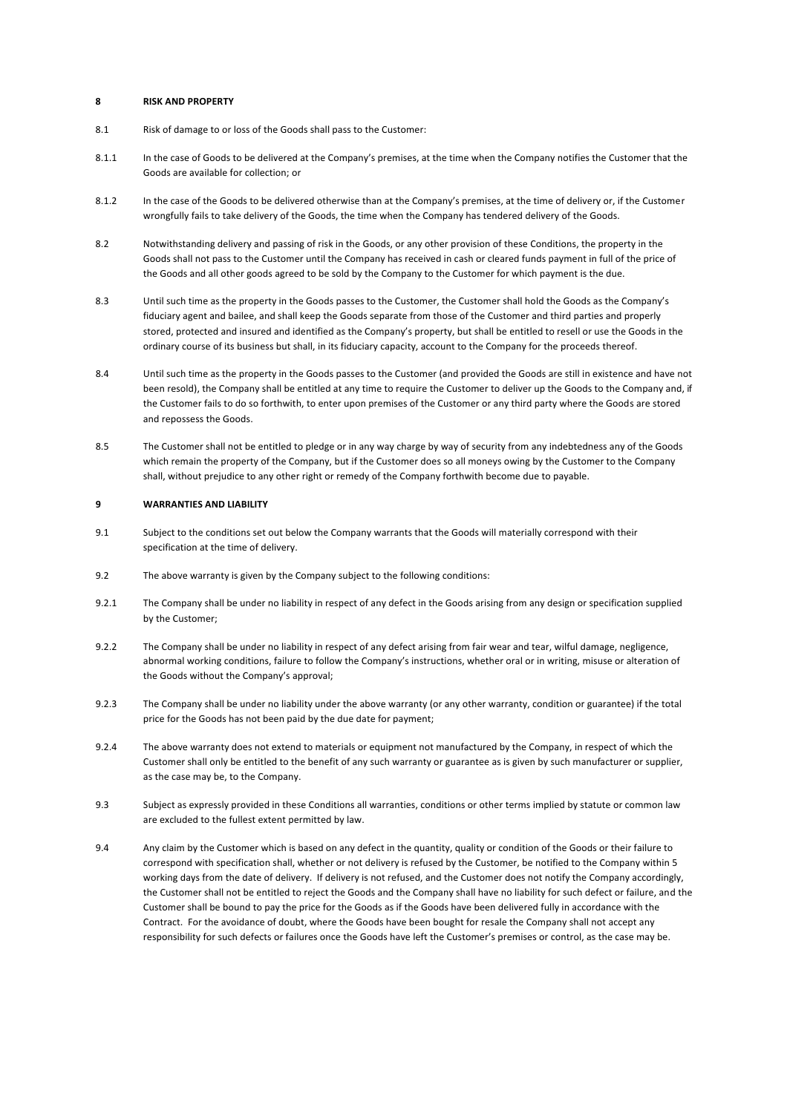#### $\mathbf{a}$ **RISK AND PROPERTY**

- $8.1$ Risk of damage to or loss of the Goods shall pass to the Customer:
- 811 In the case of Goods to be delivered at the Company's premises, at the time when the Company notifies the Customer that the Goods are available for collection: or
- $812$ In the case of the Goods to be delivered otherwise than at the Company's premises, at the time of delivery or, if the Customer wrongfully fails to take delivery of the Goods, the time when the Company has tendered delivery of the Goods.
- $82$ Notwithstanding delivery and passing of risk in the Goods, or any other provision of these Conditions, the property in the Goods shall not pass to the Customer until the Company has received in cash or cleared funds payment in full of the price of the Goods and all other goods agreed to be sold by the Company to the Customer for which payment is the due.
- $8.3$ Until such time as the property in the Goods passes to the Customer, the Customer shall hold the Goods as the Company's fiduciary agent and bailee, and shall keep the Goods separate from those of the Customer and third parties and properly stored, protected and insured and identified as the Company's property, but shall be entitled to resell or use the Goods in the ordinary course of its business but shall, in its fiduciary capacity, account to the Company for the proceeds thereof.
- 8.4 Until such time as the property in the Goods passes to the Customer (and provided the Goods are still in existence and have not been resold), the Company shall be entitled at any time to require the Customer to deliver up the Goods to the Company and, if the Customer fails to do so forthwith, to enter upon premises of the Customer or any third party where the Goods are stored and repossess the Goods.
- The Customer shall not be entitled to pledge or in any way charge by way of security from any indebtedness any of the Goods  $85$ which remain the property of the Company, but if the Customer does so all moneys owing by the Customer to the Company shall, without prejudice to any other right or remedy of the Company forthwith become due to payable.

### $\overline{9}$ **WARRANTIFS AND HABILITY**

- $9<sub>1</sub>$ Subject to the conditions set out below the Company warrants that the Goods will materially correspond with their specification at the time of delivery.
- $92$ The above warranty is given by the Company subject to the following conditions:
- $9.2.1$ The Company shall be under no liability in respect of any defect in the Goods arising from any design or specification supplied by the Customer:
- $9.2.2$ The Company shall be under no liability in respect of any defect arising from fair wear and tear, wilful damage, negligence, abnormal working conditions, failure to follow the Company's instructions, whether oral or in writing, misuse or alteration of the Goods without the Company's approval;
- $9.2.3$ The Company shall be under no liability under the above warranty (or any other warranty, condition or guarantee) if the total price for the Goods has not been paid by the due date for payment;
- $9.2.4$ The above warranty does not extend to materials or equipment not manufactured by the Company, in respect of which the Customer shall only be entitled to the benefit of any such warranty or guarantee as is given by such manufacturer or supplier, as the case may be, to the Company.
- 9.3 Subject as expressly provided in these Conditions all warranties, conditions or other terms implied by statute or common law are excluded to the fullest extent permitted by law.
- 9.4 Any claim by the Customer which is based on any defect in the quantity, quality or condition of the Goods or their failure to correspond with specification shall, whether or not delivery is refused by the Customer, be notified to the Company within 5 working days from the date of delivery. If delivery is not refused, and the Customer does not notify the Company accordingly, the Customer shall not be entitled to reject the Goods and the Company shall have no liability for such defect or failure, and the Customer shall be bound to pay the price for the Goods as if the Goods have been delivered fully in accordance with the Contract. For the avoidance of doubt, where the Goods have been bought for resale the Company shall not accept any responsibility for such defects or failures once the Goods have left the Customer's premises or control, as the case may be.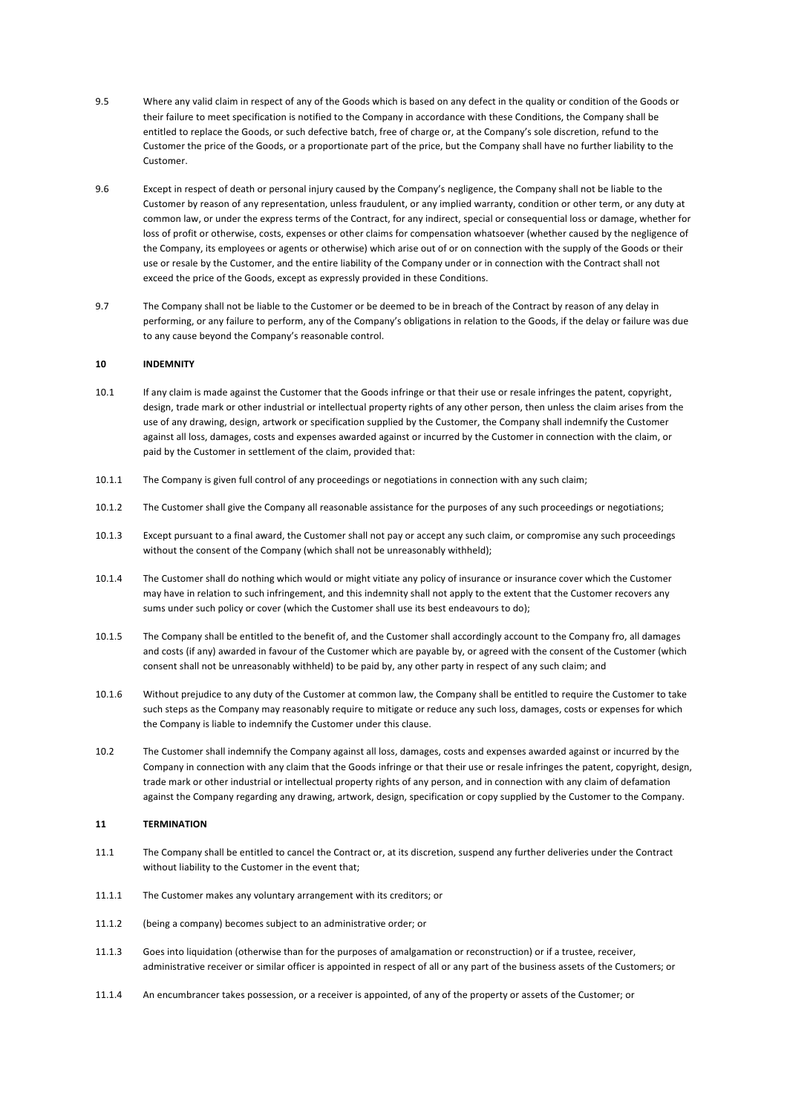- $95$ Where any valid claim in respect of any of the Goods which is based on any defect in the quality or condition of the Goods or their failure to meet specification is notified to the Company in accordance with these Conditions, the Company shall be entitled to replace the Goods, or such defective batch, free of charge or, at the Company's sole discretion, refund to the Customer the price of the Goods, or a proportionate part of the price, but the Company shall have no further liability to the Customer.
- 9.6 Except in respect of death or personal injury caused by the Company's negligence, the Company shall not be liable to the Customer by reason of any representation, unless fraudulent, or any implied warranty, condition or other term, or any duty at common law, or under the express terms of the Contract, for any indirect, special or consequential loss or damage, whether for loss of profit or otherwise, costs, expenses or other claims for compensation whatsoever (whether caused by the negligence of the Company, its employees or agents or otherwise) which arise out of or on connection with the supply of the Goods or their use or resale by the Customer, and the entire liability of the Company under or in connection with the Contract shall not exceed the price of the Goods, except as expressly provided in these Conditions.
- 9.7 The Company shall not be liable to the Customer or be deemed to be in breach of the Contract by reason of any delay in performing, or any failure to perform, any of the Company's obligations in relation to the Goods, if the delay or failure was due to any cause beyond the Company's reasonable control.

### $10$ **INDEMNITY**

- $10.1$ If any claim is made against the Customer that the Goods infringe or that their use or resale infringes the patent, copyright, design, trade mark or other industrial or intellectual property rights of any other person, then unless the claim arises from the use of any drawing, design, artwork or specification supplied by the Customer, the Company shall indemnify the Customer against all loss, damages, costs and expenses awarded against or incurred by the Customer in connection with the claim, or paid by the Customer in settlement of the claim, provided that:
- $10.1.1$ The Company is given full control of any proceedings or negotiations in connection with any such claim;
- 10.1.2 The Customer shall give the Company all reasonable assistance for the purposes of any such proceedings or negotiations;
- $10.1.3$ Except pursuant to a final award, the Customer shall not pay or accept any such claim, or compromise any such proceedings without the consent of the Company (which shall not be unreasonably withheld);
- 10.1.4 The Customer shall do nothing which would or might vitiate any policy of insurance or insurance cover which the Customer may have in relation to such infringement, and this indemnity shall not apply to the extent that the Customer recovers any sums under such policy or cover (which the Customer shall use its best endeavours to do);
- 10.1.5 The Company shall be entitled to the benefit of, and the Customer shall accordingly account to the Company fro, all damages and costs (if any) awarded in favour of the Customer which are payable by, or agreed with the consent of the Customer (which consent shall not be unreasonably withheld) to be paid by, any other party in respect of any such claim; and
- 10.1.6 Without prejudice to any duty of the Customer at common law, the Company shall be entitled to require the Customer to take such steps as the Company may reasonably require to mitigate or reduce any such loss, damages, costs or expenses for which the Company is liable to indemnify the Customer under this clause.
- 10.2 The Customer shall indemnify the Company against all loss, damages, costs and expenses awarded against or incurred by the Company in connection with any claim that the Goods infringe or that their use or resale infringes the patent, copyright, design, trade mark or other industrial or intellectual property rights of any person, and in connection with any claim of defamation against the Company regarding any drawing, artwork, design, specification or copy supplied by the Customer to the Company.

#### $11$ **TERMINATION**

- The Company shall be entitled to cancel the Contract or, at its discretion, suspend any further deliveries under the Contract 11.1 without liability to the Customer in the event that;
- $11111$ The Customer makes any voluntary arrangement with its creditors; or
- 11.1.2 (being a company) becomes subject to an administrative order; or
- $1113$ Goes into liquidation (otherwise than for the purposes of amalgamation or reconstruction) or if a trustee, receiver, administrative receiver or similar officer is appointed in respect of all or any part of the business assets of the Customers; or
- $1114$ An encumbrancer takes possession, or a receiver is appointed, of any of the property or assets of the Customer; or